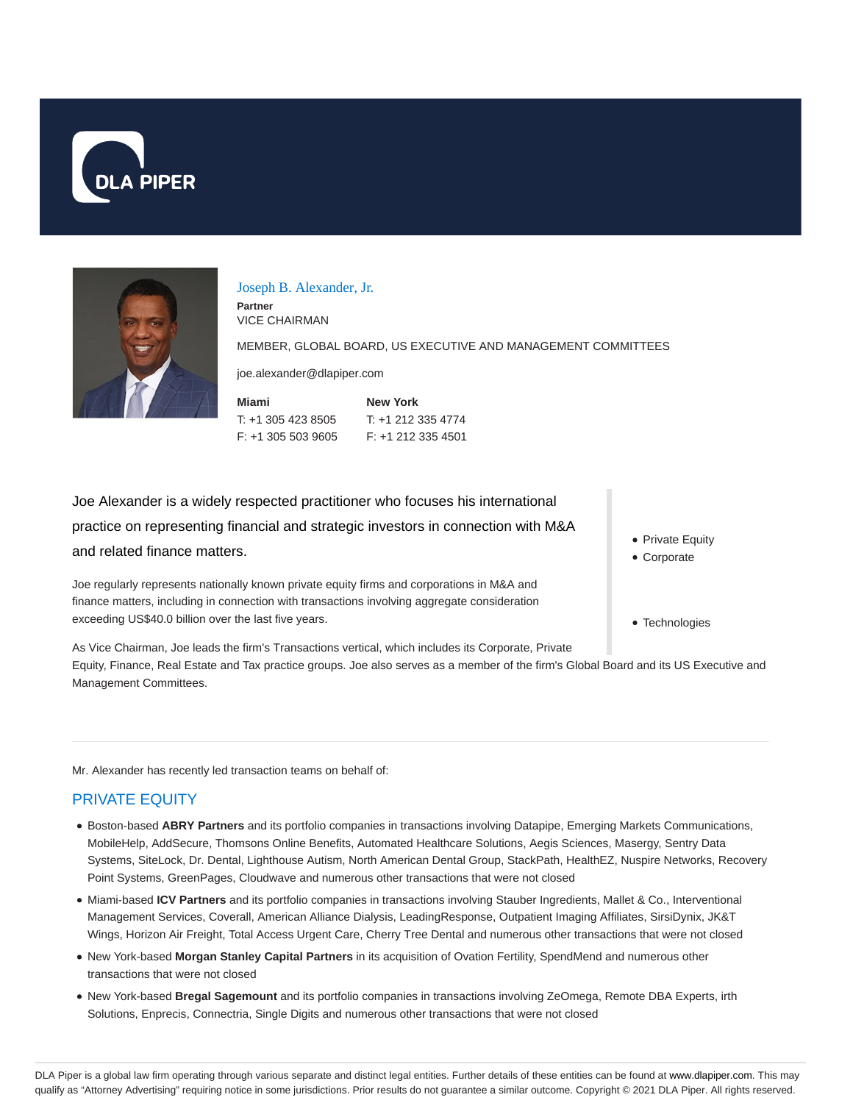



#### Joseph B. Alexander, Jr.

**Partner** VICE CHAIRMAN

MEMBER, GLOBAL BOARD, US EXECUTIVE AND MANAGEMENT COMMITTEES

joe.alexander@dlapiper.com

| Miami              | <b>New York</b>    |
|--------------------|--------------------|
| T: +1 305 423 8505 | $T: +12123354774$  |
| F: +1 305 503 9605 | F: +1 212 335 4501 |

Joe Alexander is a widely respected practitioner who focuses his international practice on representing financial and strategic investors in connection with M&A and related finance matters.

Joe regularly represents nationally known private equity firms and corporations in M&A and finance matters, including in connection with transactions involving aggregate consideration exceeding US\$40.0 billion over the last five years.

As Vice Chairman, Joe leads the firm's Transactions vertical, which includes its Corporate, Private Equity, Finance, Real Estate and Tax practice groups. Joe also serves as a member of the firm's Global Board and its US Executive and Management Committees.

Mr. Alexander has recently led transaction teams on behalf of:

### PRIVATE EQUITY

- Boston-based **ABRY Partners** and its portfolio companies in transactions involving Datapipe, Emerging Markets Communications, MobileHelp, AddSecure, Thomsons Online Benefits, Automated Healthcare Solutions, Aegis Sciences, Masergy, Sentry Data Systems, SiteLock, Dr. Dental, Lighthouse Autism, North American Dental Group, StackPath, HealthEZ, Nuspire Networks, Recovery Point Systems, GreenPages, Cloudwave and numerous other transactions that were not closed
- Miami-based **ICV Partners** and its portfolio companies in transactions involving Stauber Ingredients, Mallet & Co., Interventional Management Services, Coverall, American Alliance Dialysis, LeadingResponse, Outpatient Imaging Affiliates, SirsiDynix, JK&T Wings, Horizon Air Freight, Total Access Urgent Care, Cherry Tree Dental and numerous other transactions that were not closed
- New York-based **Morgan Stanley Capital Partners** in its acquisition of Ovation Fertility, SpendMend and numerous other transactions that were not closed
- New York-based **Bregal Sagemount** and its portfolio companies in transactions involving ZeOmega, Remote DBA Experts, irth Solutions, Enprecis, Connectria, Single Digits and numerous other transactions that were not closed
- Private Equity
- Corporate
- Technologies

DLA Piper is a global law firm operating through various separate and distinct legal entities. Further details of these entities can be found at www.dlapiper.com. This may qualify as "Attorney Advertising" requiring notice in some jurisdictions. Prior results do not guarantee a similar outcome. Copyright @ 2021 DLA Piper. All rights reserved.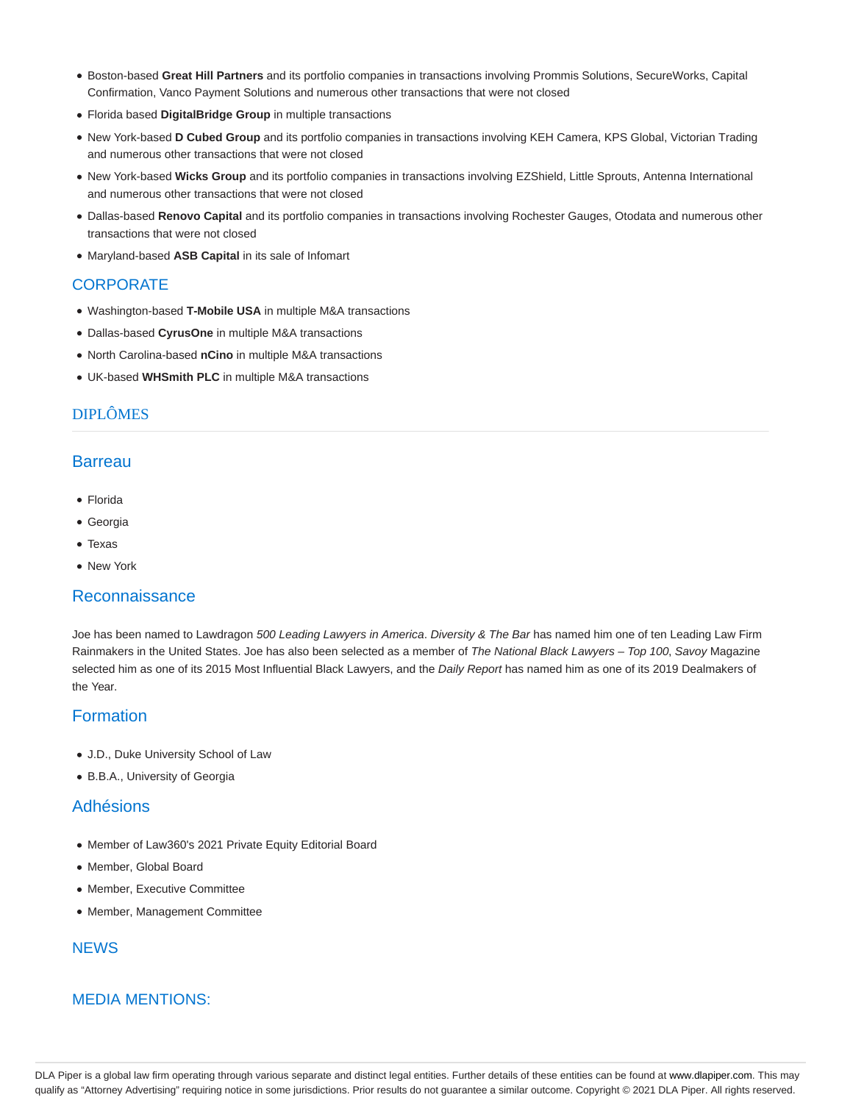- Boston-based **Great Hill Partners** and its portfolio companies in transactions involving Prommis Solutions, SecureWorks, Capital Confirmation, Vanco Payment Solutions and numerous other transactions that were not closed
- Florida based **DigitalBridge Group** in multiple transactions
- New York-based **D Cubed Group** and its portfolio companies in transactions involving KEH Camera, KPS Global, Victorian Trading and numerous other transactions that were not closed
- New York-based **Wicks Group** and its portfolio companies in transactions involving EZShield, Little Sprouts, Antenna International and numerous other transactions that were not closed
- Dallas-based **Renovo Capital** and its portfolio companies in transactions involving Rochester Gauges, Otodata and numerous other transactions that were not closed
- Maryland-based **ASB Capital** in its sale of Infomart

## **CORPORATE**

- Washington-based **T-Mobile USA** in multiple M&A transactions
- Dallas-based **CyrusOne** in multiple M&A transactions
- North Carolina-based **nCino** in multiple M&A transactions
- UK-based **WHSmith PLC** in multiple M&A transactions

# DIPLÔMES

### **Barreau**

- Florida
- Georgia
- Texas
- New York

#### Reconnaissance

Joe has been named to Lawdragon 500 Leading Lawyers in America. Diversity & The Bar has named him one of ten Leading Law Firm Rainmakers in the United States. Joe has also been selected as a member of The National Black Lawyers - Top 100, Savoy Magazine selected him as one of its 2015 Most Influential Black Lawyers, and the Daily Report has named him as one of its 2019 Dealmakers of the Year.

## Formation

- J.D., Duke University School of Law
- B.B.A., University of Georgia

### Adhésions

- Member of Law360's 2021 Private Equity Editorial Board
- Member, Global Board
- Member, Executive Committee
- Member, Management Committee

### **NEWS**

### MEDIA MENTIONS:

DLA Piper is a global law firm operating through various separate and distinct legal entities. Further details of these entities can be found at www.dlapiper.com. This may qualify as "Attorney Advertising" requiring notice in some jurisdictions. Prior results do not guarantee a similar outcome. Copyright © 2021 DLA Piper. All rights reserved.